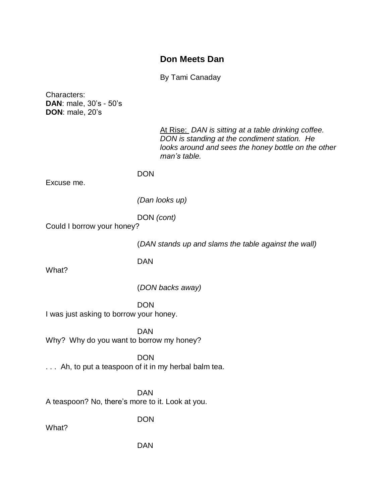# **Don Meets Dan**

By Tami Canaday

Characters: **DAN**: male, 30's - 50's **DON**: male, 20's

> At Rise: *DAN is sitting at a table drinking coffee. DON is standing at the condiment station. He looks around and sees the honey bottle on the other man's table.*

**DON** 

Excuse me.

*(Dan looks up)*

DON *(cont)*

Could I borrow your honey?

(*DAN stands up and slams the table against the wall)*

DAN

What?

(*DON backs away)*

**DON** I was just asking to borrow your honey.

DAN Why? Why do you want to borrow my honey?

DON ... Ah, to put a teaspoon of it in my herbal balm tea.

DAN A teaspoon? No, there's more to it. Look at you.

DON

What?

DAN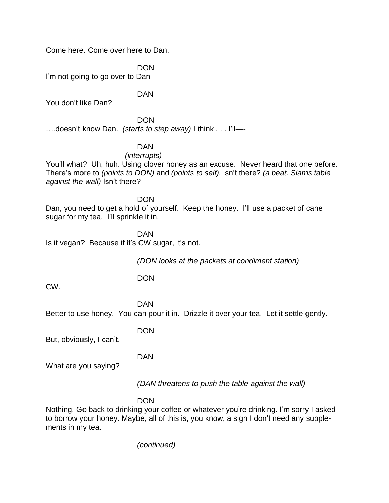Come here. Come over here to Dan.

DON I'm not going to go over to Dan

You don't like Dan?

**DON** ….doesn't know Dan. *(starts to step away)* I think . . . I'll—-

DAN

### DAN

#### *(interrupts)*

You'll what? Uh, huh. Using clover honey as an excuse. Never heard that one before. There's more to *(points to DON)* and *(points to self),* isn't there? *(a beat. Slams table against the wall)* Isn't there?

DON

Dan, you need to get a hold of yourself. Keep the honey. I'll use a packet of cane sugar for my tea. I'll sprinkle it in.

DAN

Is it vegan? Because if it's CW sugar, it's not.

*(DON looks at the packets at condiment station)*

DON

CW.

DAN Better to use honey. You can pour it in. Drizzle it over your tea. Let it settle gently.

DON

But, obviously, I can't.

DAN

What are you saying?

*(DAN threatens to push the table against the wall)*

**DON** 

Nothing. Go back to drinking your coffee or whatever you're drinking. I'm sorry I asked to borrow your honey. Maybe, all of this is, you know, a sign I don't need any supplements in my tea.

*(continued)*